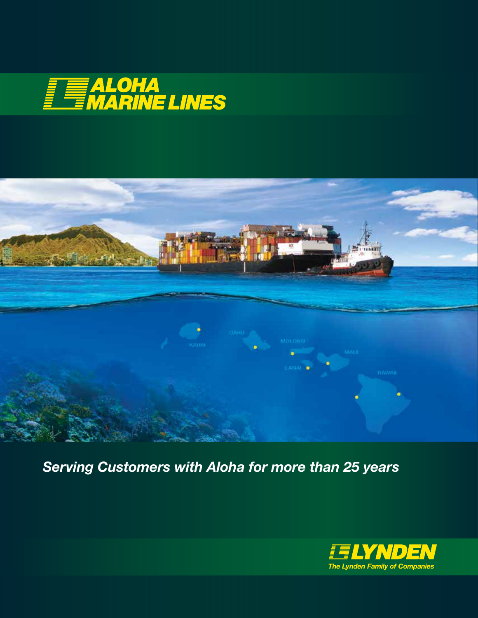



*Serving Customers with Aloha for more than 25 years*

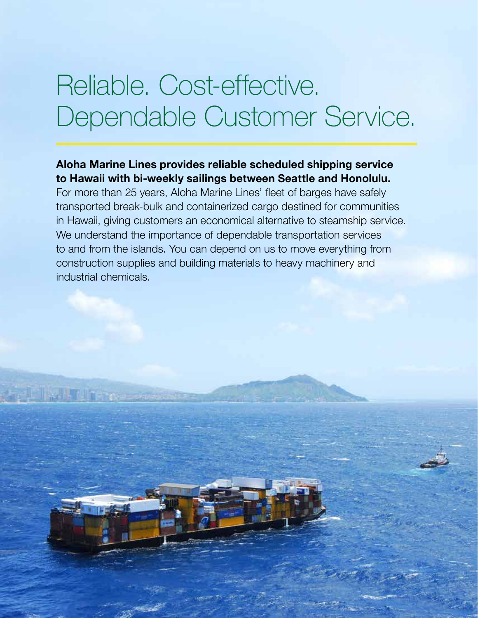## Reliable. Cost-effective. Dependable Customer Service.

### Aloha Marine Lines provides reliable scheduled shipping service to Hawaii with bi-weekly sailings between Seattle and Honolulu.

For more than 25 years, Aloha Marine Lines' fleet of barges have safely transported break-bulk and containerized cargo destined for communities in Hawaii, giving customers an economical alternative to steamship service. We understand the importance of dependable transportation services to and from the islands. You can depend on us to move everything from construction supplies and building materials to heavy machinery and industrial chemicals.

ik tih m

**IF THE BOOK EVER**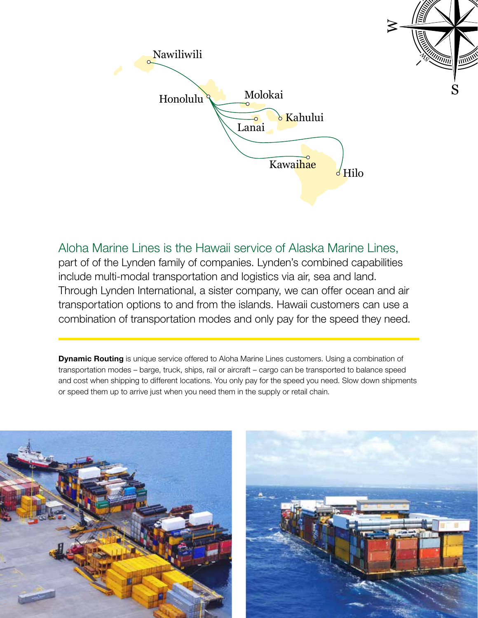

Aloha Marine Lines is the Hawaii service of Alaska Marine Lines, part of of the Lynden family of companies. Lynden's combined capabilities include multi-modal transportation and logistics via air, sea and land. Through Lynden International, a sister company, we can offer ocean and air transportation options to and from the islands. Hawaii customers can use a combination of transportation modes and only pay for the speed they need.

**Dynamic Routing** is unique service offered to Aloha Marine Lines customers. Using a combination of transportation modes – barge, truck, ships, rail or aircraft – cargo can be transported to balance speed and cost when shipping to different locations. You only pay for the speed you need. Slow down shipments or speed them up to arrive just when you need them in the supply or retail chain.



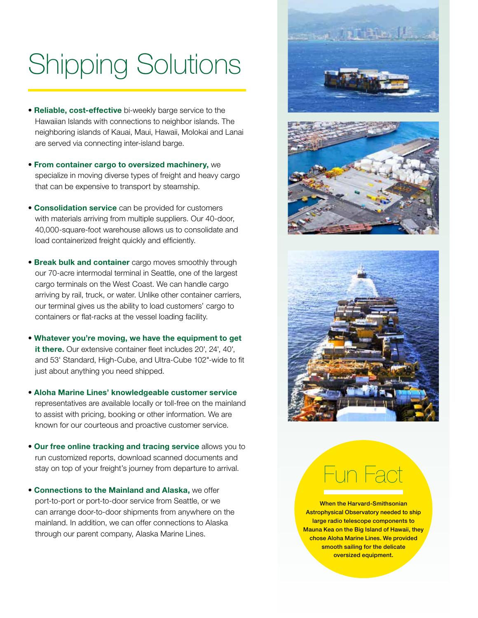# Shipping Solutions

- Reliable, cost-effective bi-weekly barge service to the Hawaiian Islands with connections to neighbor islands. The neighboring islands of Kauai, Maui, Hawaii, Molokai and Lanai are served via connecting inter-island barge.
- From container cargo to oversized machinery, we specialize in moving diverse types of freight and heavy cargo that can be expensive to transport by steamship.
- Consolidation service can be provided for customers with materials arriving from multiple suppliers. Our 40-door, 40,000-square-foot warehouse allows us to consolidate and load containerized freight quickly and efficiently.
- **Break bulk and container** cargo moves smoothly through our 70-acre intermodal terminal in Seattle, one of the largest cargo terminals on the West Coast. We can handle cargo arriving by rail, truck, or water. Unlike other container carriers, our terminal gives us the ability to load customers' cargo to containers or flat-racks at the vessel loading facility.
- Whatever you're moving, we have the equipment to get it there. Our extensive container fleet includes 20', 24', 40', and 53' Standard, High-Cube, and Ultra-Cube 102"-wide to fit just about anything you need shipped.
- Aloha Marine Lines' knowledgeable customer service representatives are available locally or toll-free on the mainland to assist with pricing, booking or other information. We are known for our courteous and proactive customer service.
- Our free online tracking and tracing service allows you to run customized reports, download scanned documents and stay on top of your freight's journey from departure to arrival.
- Connections to the Mainland and Alaska, we offer port-to-port or port-to-door service from Seattle, or we can arrange door-to-door shipments from anywhere on the mainland. In addition, we can offer connections to Alaska through our parent company, Alaska Marine Lines.







# Fun Fact

When the Harvard-Smithsonian Astrophysical Observatory needed to ship large radio telescope components to Mauna Kea on the Big Island of Hawaii, they chose Aloha Marine Lines. We provided smooth sailing for the delicate oversized equipment.